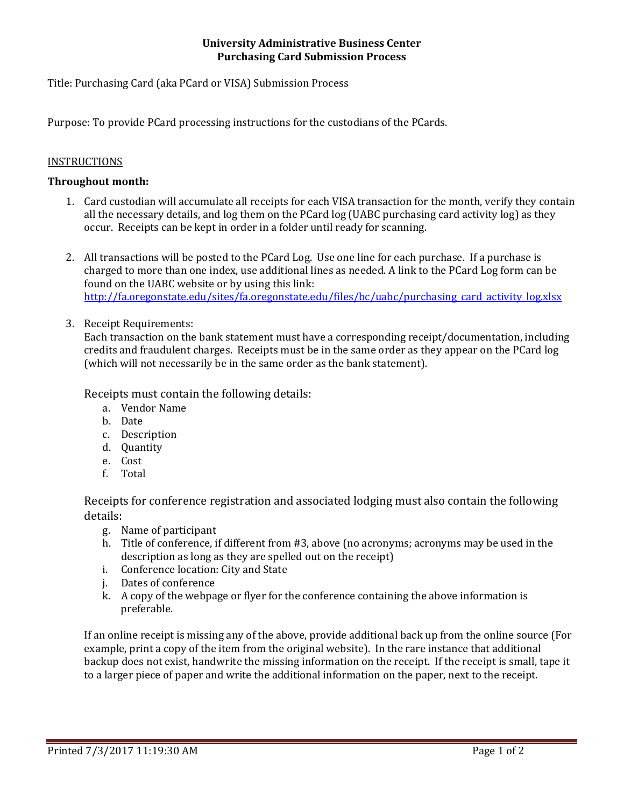#### **University Administrative Business Center Purchasing Card Submission Process**

Title: Purchasing Card (aka PCard or VISA) Submission Process

Purpose: To provide PCard processing instructions for the custodians of the PCards.

## **INSTRUCTIONS**

## **Throughout month:**

- 1. Card custodian will accumulate all receipts for each VISA transaction for the month, verify they contain all the necessary details, and log them on the PCard log (UABC purchasing card activity log) as they occur. Receipts can be kept in order in a folder until ready for scanning.
- 2. All transactions will be posted to the PCard Log. Use one line for each purchase. If a purchase is charged to more than one index, use additional lines as needed. A link to the PCard Log form can be found on the UABC website or by using this link: http://fa.oregonstate.edu/sites/fa.oregonstate.edu/files/bc/uabc/purchasing\_card\_activity\_log.xlsx
- 3. Receipt Requirements:

Each transaction on the bank statement must have a corresponding receipt/documentation, including credits and fraudulent charges. Receipts must be in the same order as they appear on the PCard log (which will not necessarily be in the same order as the bank statement).

Receipts must contain the following details:

- a. Vendor Name
- b. Date
- c. Description
- d. Quantity
- e. Cost
- f. Total

Receipts for conference registration and associated lodging must also contain the following details: 

- g. Name of participant
- h. Title of conference, if different from #3, above (no acronyms; acronyms may be used in the description as long as they are spelled out on the receipt)
- i. Conference location: City and State
- j. Dates of conference
- k. A copy of the webpage or flyer for the conference containing the above information is preferable.

If an online receipt is missing any of the above, provide additional back up from the online source (For example, print a copy of the item from the original website). In the rare instance that additional backup does not exist, handwrite the missing information on the receipt. If the receipt is small, tape it to a larger piece of paper and write the additional information on the paper, next to the receipt.